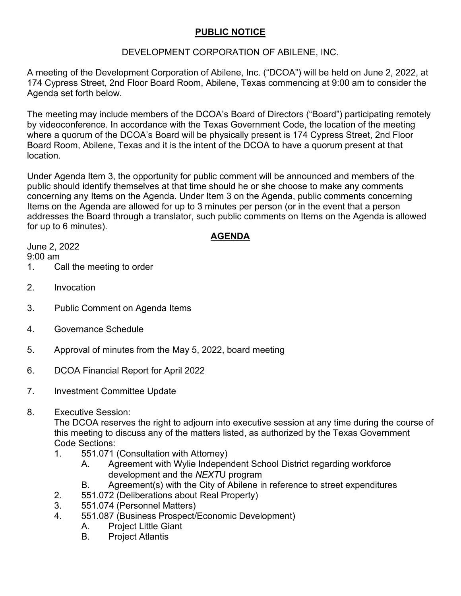# **PUBLIC NOTICE**

## DEVELOPMENT CORPORATION OF ABILENE, INC.

A meeting of the Development Corporation of Abilene, Inc. ("DCOA") will be held on June 2, 2022, at 174 Cypress Street, 2nd Floor Board Room, Abilene, Texas commencing at 9:00 am to consider the Agenda set forth below.

The meeting may include members of the DCOA's Board of Directors ("Board") participating remotely by videoconference. In accordance with the Texas Government Code, the location of the meeting where a quorum of the DCOA's Board will be physically present is 174 Cypress Street, 2nd Floor Board Room, Abilene, Texas and it is the intent of the DCOA to have a quorum present at that location.

Under Agenda Item 3, the opportunity for public comment will be announced and members of the public should identify themselves at that time should he or she choose to make any comments concerning any Items on the Agenda. Under Item 3 on the Agenda, public comments concerning Items on the Agenda are allowed for up to 3 minutes per person (or in the event that a person addresses the Board through a translator, such public comments on Items on the Agenda is allowed for up to 6 minutes).

## **AGENDA**

June 2, 2022 9:00 am

- 1. Call the meeting to order
- 2. Invocation
- 3. Public Comment on Agenda Items
- 4. Governance Schedule
- 5. Approval of minutes from the May 5, 2022, board meeting
- 6. DCOA Financial Report for April 2022
- 7. Investment Committee Update
- 8. Executive Session:

The DCOA reserves the right to adjourn into executive session at any time during the course of this meeting to discuss any of the matters listed, as authorized by the Texas Government Code Sections:

- 1. 551.071 (Consultation with Attorney)
	- A. Agreement with Wylie Independent School District regarding workforce development and the *NEXT*U program
	- B. Agreement(s) with the City of Abilene in reference to street expenditures
- 2. 551.072 (Deliberations about Real Property)
- 3. 551.074 (Personnel Matters)
- 4. 551.087 (Business Prospect/Economic Development)
	- A. Project Little Giant
	- B. Project Atlantis